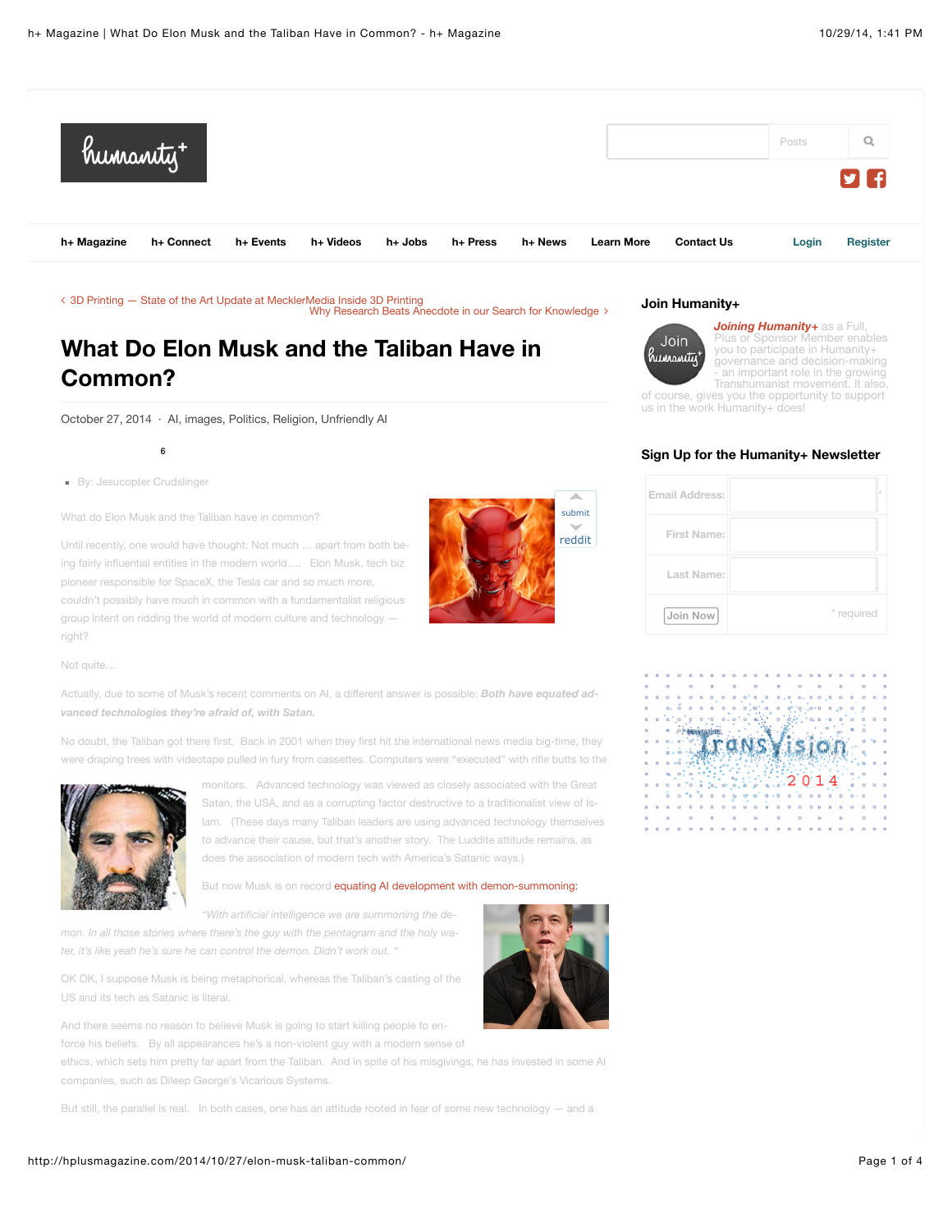

∠ [3D Printing — State of the Art Update at MecklerMedia Inside 3D Printing](http://hplusmagazine.com/2014/10/24/3d-printing-state-art-update-mecklermedia-inside-3d-printing/) [Why Research Beats Anecdote in our Search for Knowledge](http://hplusmagazine.com/2014/10/27/research-beats-anecdote-search-knowledge/) ∠

# **What Do Elon Musk and the Taliban Have in Common?**

October 27, 2014 · [AI,](http://hplusmagazine.com/category/ai/) [images](http://hplusmagazine.com/category/images/), [Politics,](http://hplusmagazine.com/category/politics/) [Religion,](http://hplusmagazine.com/category/religion-2/) [Unfriendly AI](http://hplusmagazine.com/category/ai/unfriendly-ai/)

By: Jesucopter Crudslinger

**6**

What do Elon Musk and the Taliban have in common?

Until recently, one would have thought: Not much … apart from both be‐ ing fairly influential entities in the modern world…. Elon Musk, tech biz pioneer responsible for SpaceX, the Tesla car and so much more, couldn't possibly have much in common with a fundamentalist religious group intent on ridding the world of modern culture and technology right?



Not quite…

Actually, due to some of Musk's recent comments on AI, a different answer is possible: *Both have equated ad‐ vanced technologies they're afraid of, with Satan.*

No doubt, the Taliban got there first. Back in 2001 when they first hit the international news media big-time, they were draping trees with videotape pulled in fury from cassettes. Computers were "executed" with rifle butts to the



monitors. Advanced technology was viewed as closely associated with the Great Satan, the USA, and as a corrupting factor destructive to a traditionalist view of Is‐ lam. (These days many Taliban leaders are using advanced technology themselves to advance their cause, but that's another story. The Luddite attitude remains, as does the association of modern tech with America's Satanic ways.)

#### But now Musk is on record [equating AI development with demon-summoning:](http://www.washingtonpost.com/blogs/innovations/wp/2014/10/24/elon-musk-with-artificial-intelligence-we-are-summoning-the-demon/?TID=SM_FB)

*"With artificial intelligence we are summoning the de‐ mon. In all those stories where there's the guy with the pentagram and the holy wa‐*

*ter, it's like yeah he's sure he can control the demon. Didn't work out. "*

OK OK, I suppose Musk is being metaphorical, whereas the Taliban's casting of the US and its tech as Satanic is literal.

And there seems no reason to believe Musk is going to start killing people to en‐ force his beliefs. By all appearances he's a non-violent guy with a modern sense of

ethics, which sets him pretty far apart from the Taliban. And in spite of his misgivings, he has invested in some AI companies, such as Dileep George's Vicarious Systems.

But still, the parallel is real. In both cases, one has an attitude rooted in fear of some new technology — and a

#### **Join Humanity+**



*[Joining Humanity+](http://humanityplus.org/get-involved-2/join/join-hplus/)* as a Full, Plus or Sponsor Member enables you to participate in Humanity+ governance and decision-making an important role in the growing Transhumanist movement. It also,

of course, gives you the opportunity to support us in the work Humanity+ does!

### **Sign Up for the Humanity+ Newsletter**

| <b>Email Address:</b> |            |
|-----------------------|------------|
| <b>First Name:</b>    |            |
| Last Name:            |            |
| Join Now              | * required |

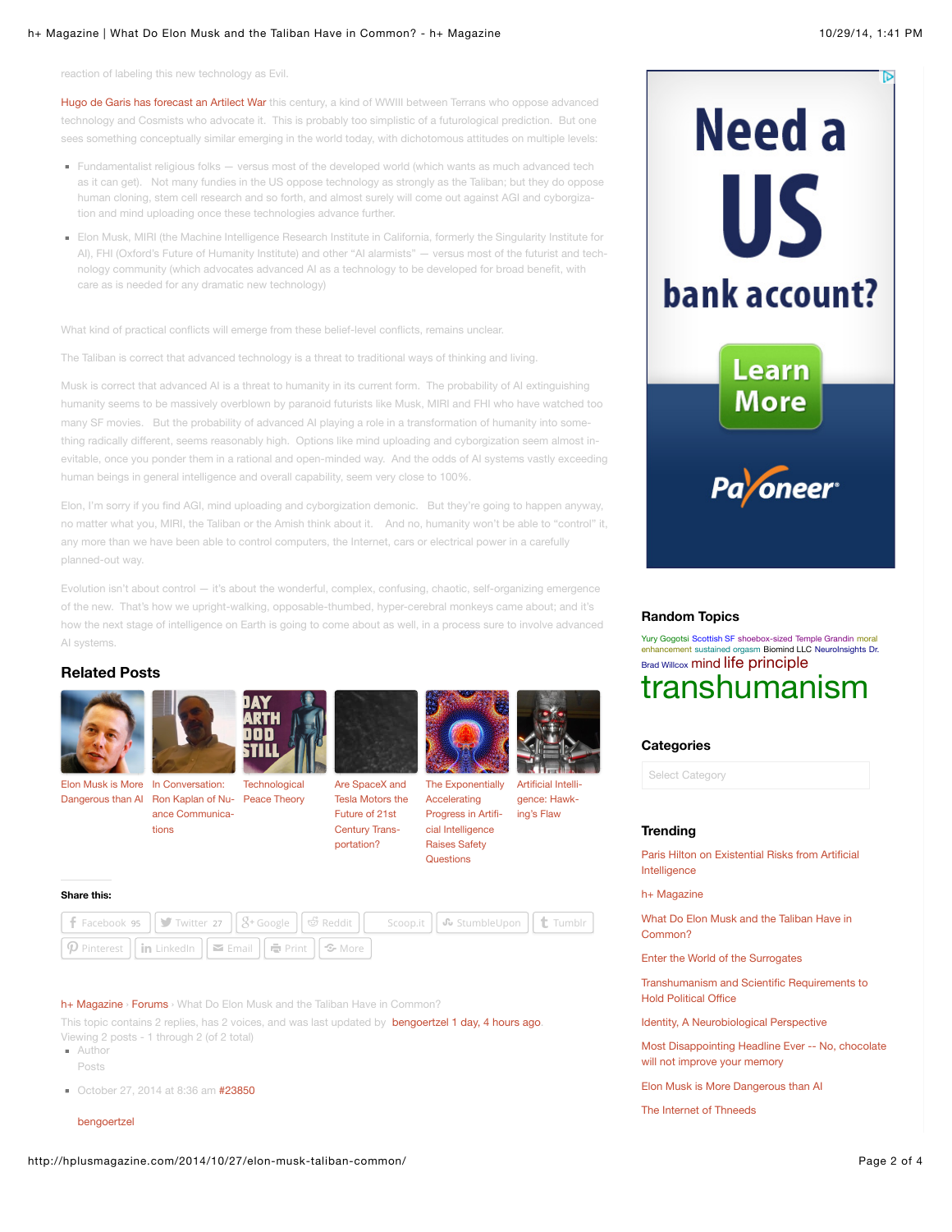#### h+ Magazine | What Do Elon Musk and the Taliban Have in Common? - h+ Magazine 10/29/14, 1:41 PM

reaction of labeling this new technology as Evil.

[Hugo de Garis has forecast an Artilect War](http://www.forbes.com/2009/06/18/cosmist-terran-cyborgist-opinions-contributors-artificial-intelligence-09-hugo-de-garis.html) this century, a kind of WWIII between Terrans who oppose advanced technology and Cosmists who advocate it. This is probably too simplistic of a futurological prediction. But one sees something conceptually similar emerging in the world today, with dichotomous attitudes on multiple levels:

- Fundamentalist religious folks versus most of the developed world (which wants as much advanced tech as it can get). Not many fundies in the US oppose technology as strongly as the Taliban; but they do oppose human cloning, stem cell research and so forth, and almost surely will come out against AGI and cyborgization and mind uploading once these technologies advance further.
- Elon Musk, MIRI (the Machine Intelligence Research Institute in California, formerly the Singularity Institute for AI), FHI (Oxford's Future of Humanity Institute) and other "AI alarmists" — versus most of the futurist and technology community (which advocates advanced AI as a technology to be developed for broad benefit, with care as is needed for any dramatic new technology)

What kind of practical conflicts will emerge from these belief-level conflicts, remains unclear.

The Taliban is correct that advanced technology is a threat to traditional ways of thinking and living.

Musk is correct that advanced AI is a threat to humanity in its current form. The probability of AI extinguishing humanity seems to be massively overblown by paranoid futurists like Musk, MIRI and FHI who have watched too many SF movies. But the probability of advanced AI playing a role in a transformation of humanity into something radically different, seems reasonably high. Options like mind uploading and cyborgization seem almost in‐ evitable, once you ponder them in a rational and open-minded way. And the odds of AI systems vastly exceeding human beings in general intelligence and overall capability, seem very close to 100%.

Elon, I'm sorry if you find AGI, mind uploading and cyborgization demonic. But they're going to happen anyway, no matter what you, MIRI, the Taliban or the Amish think about it. And no, humanity won't be able to "control" it, any more than we have been able to control computers, the Internet, cars or electrical power in a carefully planned-out way.

Evolution isn't about control — it's about the wonderful, complex, confusing, chaotic, self-organizing emergence of the new. That's how we upright-walking, opposable-thumbed, hyper-cerebral monkeys came about; and it's how the next stage of intelligence on Earth is going to come about as well, in a process sure to involve advanced AI systems.

# **Related Posts**



Elon Musk is More In Conversation:

tions

[Dangerous than AI](http://hplusmagazine.com/2014/08/04/elon-musk-is-more-dangerous-than-ai/) [Ron Kaplan of Nu](http://hplusmagazine.com/2014/07/22/in-conversation-ron-kaplan-of-nuance-communications/)- [Peace Theory](http://hplusmagazine.com/2014/07/03/17405/) ance Communica‐

**Technological** 



Are SpaceX and [Tesla Motors the](http://hplusmagazine.com/2009/08/28/are-spacex-and-tesla-motors-future-21st-century-transportation/) Future of 21st Century Trans‐ portation?

**Questions** 

[The Exponentially](http://hplusmagazine.com/2013/06/23/the-exponentially-accelerating-progress-in-artificial-intelligence-raises-safety-questions/) Accelerating

Progress in Artifi‐ cial Intelligence Raises Safety [Artificial Intelli](http://hplusmagazine.com/2014/08/12/artificial-intelligence-hawkings-flaw/)‐ gence: Hawk‐ ing's Flaw

#### **Share this:**

|                                                                                                                                                                   |  |  | <b>f</b> Facebook 95 $\int$ Twitter 27 $\int \int 8^{\frac{1}{2}}$ Google $\int$ $\vec{\omega}$ Reddit $\int$ Scoop.it $\int \int \vec{\omega}$ StumbleUpon $\int \int \vec{\omega}$ Tumblr |  |
|-------------------------------------------------------------------------------------------------------------------------------------------------------------------|--|--|---------------------------------------------------------------------------------------------------------------------------------------------------------------------------------------------|--|
| $\boxed{\mathbf{p}}$ Pinterest $\boxed{\mathbf{in}}$ LinkedIn $\boxed{\mathbf{=}$ Email $\boxed{\mathbf{=}}$ Print $\boxed{\mathbf{S}}$ More $\boxed{\mathbf{=}}$ |  |  |                                                                                                                                                                                             |  |

[h+ Magazine](http://hplusmagazine.com/) › [Forums](http://hplusmagazine.com/forums/) › What Do Elon Musk and the Taliban Have in Common?

This topic contains 2 replies, has 2 voices, and was last updated by **[bengoertzel](http://hplusmagazine.com/members/bengoertzel/) 1 day, 4 hours ago**. Viewing 2 posts - 1 through 2 (of 2 total)

- Author Posts
- October 27, 2014 at 8:36 am [#23850](http://hplusmagazine.com/forums/topic/what-do-elon-musk-and-the-taliban-have-in-common/#post-23850)

#### [bengoertzel](http://hplusmagazine.com/members/bengoertzel/)



#### **Random Topics**

[Yury Gogotsi](http://hplusmagazine.com/tag/yury_gogotsi/) [Scottish SF](http://hplusmagazine.com/tag/scottish_sf/) [shoebox-sized](http://hplusmagazine.com/tag/shoebox-sized/) [Temple Grandin](http://hplusmagazine.com/tag/temple-grandin/) moral enhancement [sustained orgasm](http://hplusmagazine.com/tag/moral-enhancement/) [Biomind LLC](http://hplusmagazine.com/tag/biomind_llc/) [NeuroInsights](http://hplusmagazine.com/tag/neuroinsights/) Dr. Brad Willcox [mind](http://hplusmagazine.com/tag/mind/) [life principle](http://hplusmagazine.com/tag/life_principle/)

# [transhumanism](http://hplusmagazine.com/tag/transhumanism/)

#### **Categories**

Select Category

#### **Trending**

[Paris Hilton on Existential Risks from Artificial](http://hplusmagazine.com/2014/10/27/paris-hilton-existential-risks-artificial-intelligence/) Intelligence

[h+ Magazine](http://hplusmagazine.com/)

[What Do Elon Musk and the Taliban Have in](http://hplusmagazine.com/2014/10/27/elon-musk-taliban-common/) Common?

[Enter the World of the Surrogates](http://hplusmagazine.com/2014/03/05/enter-the-world-of-the-surrogates/)

[Transhumanism and Scientific Requirements to](http://hplusmagazine.com/2014/10/23/transhumanism-scientific-requirements-hold-political-office/) Hold Political Office

[Identity, A Neurobiological Perspective](http://hplusmagazine.com/2014/10/28/identity-neurobiological-perspective/)

[Most Disappointing Headline Ever -- No, chocolate](http://hplusmagazine.com/2014/10/27/disappointing-headline-ever-chocolate-will-improve-memory/) will not improve your memory

[Elon Musk is More Dangerous than AI](http://hplusmagazine.com/2014/08/04/elon-musk-is-more-dangerous-than-ai/)

[The Internet of Thneeds](http://hplusmagazine.com/2014/10/28/internet-thneeds/)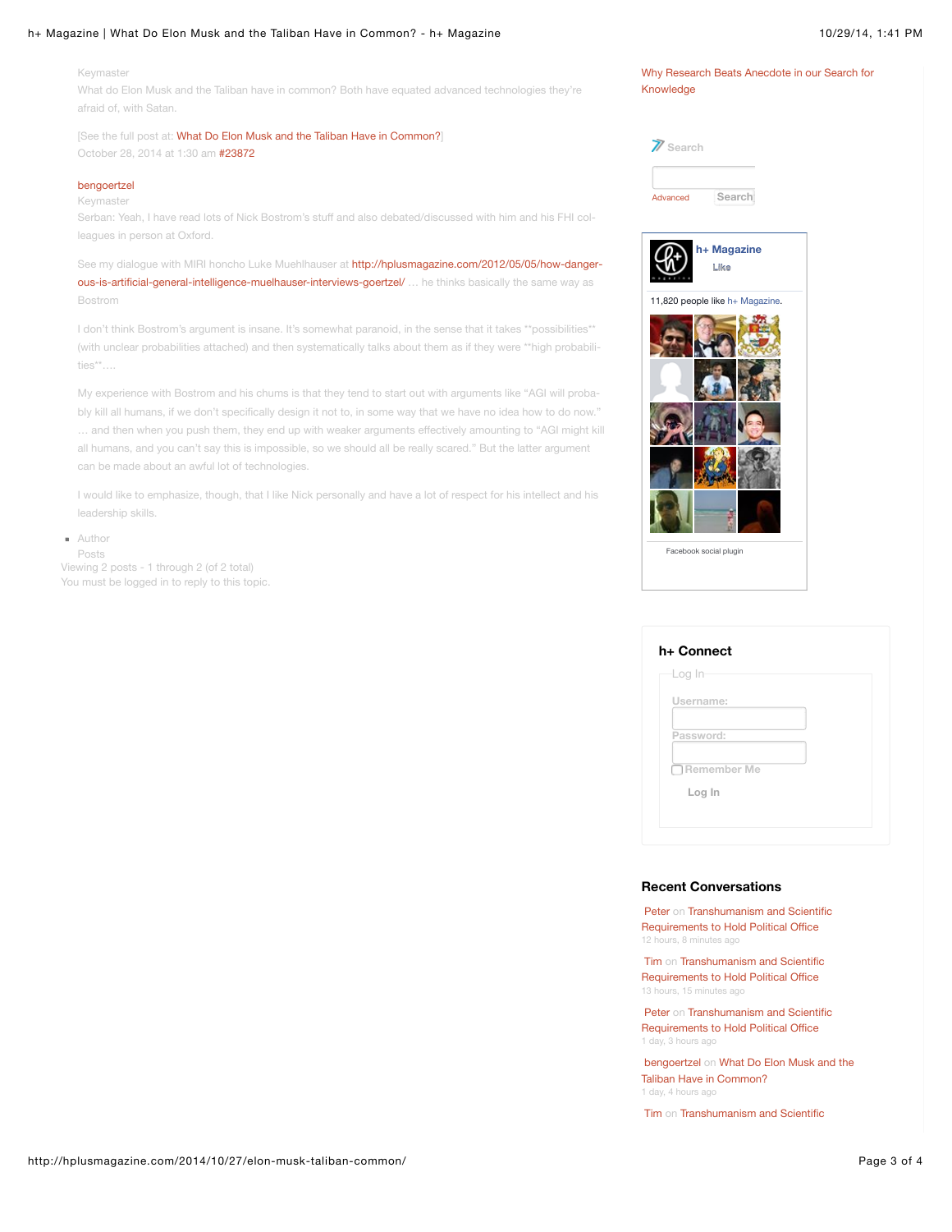#### h+ Magazine | What Do Elon Musk and the Taliban Have in Common? - h+ Magazine 10/29/14, 1:41 PM

Keymaster

What do Elon Musk and the Taliban have in common? Both have equated advanced technologies they're afraid of, with Satan.

[See the full post at: [What Do Elon Musk and the Taliban Have in Common?\]](http://hplusmagazine.com/2014/10/27/elon-musk-taliban-common/) October 28, 2014 at 1:30 am [#23872](http://hplusmagazine.com/forums/topic/what-do-elon-musk-and-the-taliban-have-in-common/#post-23872)

## [bengoertzel](http://hplusmagazine.com/members/bengoertzel/)

Keymaster

Serban: Yeah, I have read lots of Nick Bostrom's stuff and also debated/discussed with him and his FHI col‐ leagues in person at Oxford.

See my dialogue with MIRI honcho Luke Muehlhauser at http://hplusmagazine.com/2012/05/05/how-dangerous-is-artificial-general-intelligence-muelhauser-interviews-goertzel/ ... he thinks basically the same way as Bostrom

I don't think Bostrom's argument is insane. It's somewhat paranoid, in the sense that it takes \*\*possibilities\*\* (with unclear probabilities attached) and then systematically talks about them as if they were \*\*high probabili‐ ties\*\*….

My experience with Bostrom and his chums is that they tend to start out with arguments like "AGI will proba‐ bly kill all humans, if we don't specifically design it not to, in some way that we have no idea how to do now." … and then when you push them, they end up with weaker arguments effectively amounting to "AGI might kill all humans, and you can't say this is impossible, so we should all be really scared." But the latter argument can be made about an awful lot of technologies.

I would like to emphasize, though, that I like Nick personally and have a lot of respect for his intellect and his leadership skills.

Author

Posts Viewing 2 posts - 1 through 2 (of 2 total) You must be logged in to reply to this topic.

| Search   |        |
|----------|--------|
|          |        |
| Advanced | Search |

Knowledge

[Why Research Beats Anecdote in our Search for](http://hplusmagazine.com/2014/10/27/research-beats-anecdote-search-knowledge/)



| Log In             |  |
|--------------------|--|
| Username:          |  |
| Password:          |  |
| $\Box$ Remember Me |  |
| Log In             |  |

#### **Recent Conversations**

[Pete](http://hplusmagazine.com/members/peter/)[r on Transhumanism and Scientific](http://hplusmagazine.com/forums/topic/transhumanism-and-scientific-requirements-to-hold-political-office/#post-23881) Requirements to Hold Political Office 12 hours, 8 minutes ago

[Tim](http://hplusmagazine.com/members/timk/) [on Transhumanism and Scientific](http://hplusmagazine.com/forums/topic/transhumanism-and-scientific-requirements-to-hold-political-office/#post-23878) Requirements to Hold Political Office 13 hours, 15 minutes ago

[Pete](http://hplusmagazine.com/members/peter/)[r on Transhumanism and Scientific](http://hplusmagazine.com/forums/topic/transhumanism-and-scientific-requirements-to-hold-political-office/#post-23873) Requirements to Hold Political Office 1 day, 3 hours ag

[bengoertze](http://hplusmagazine.com/members/bengoertzel/)[l on What Do Elon Musk and the](http://hplusmagazine.com/forums/topic/what-do-elon-musk-and-the-taliban-have-in-common/#post-23872) Taliban Have in Common? 1 day, 4 hours ago

[Tim](http://hplusmagazine.com/members/timk/) [on Transhumanism and Scientific](http://hplusmagazine.com/forums/topic/transhumanism-and-scientific-requirements-to-hold-political-office/#post-23851)